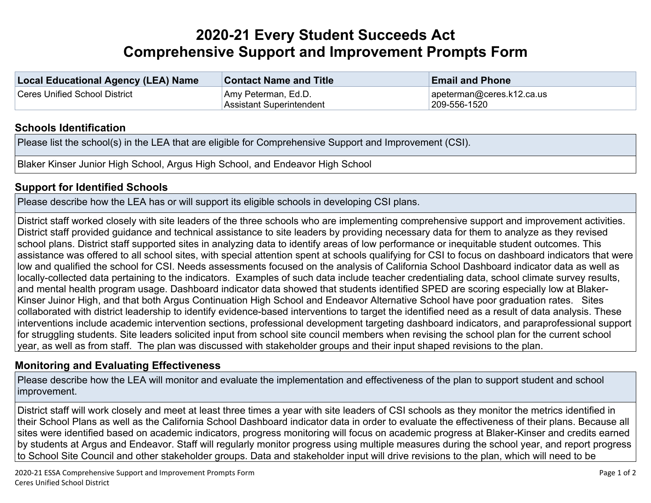## **2020-21 Every Student Succeeds Act Comprehensive Support and Improvement Prompts Form**

| Local Educational Agency (LEA) Name | <b>Contact Name and Title</b>                   | <b>Email and Phone</b>                    |
|-------------------------------------|-------------------------------------------------|-------------------------------------------|
| Ceres Unified School District       | Amy Peterman, Ed.D.<br>Assistant Superintendent | apeterman@ceres.k12.ca.us<br>209-556-1520 |

## **Schools [Identification](http://www.doc-tracking.com/screenshots/20CSIPrompts/instructions.htm#SchoolIdentification)**

Please list the school(s) in the LEA that are eligible for Comprehensive Support and Improvement (CSI).

Blaker Kinser Junior High School, Argus High School, and Endeavor High School

## **Support for [Identified](http://www.doc-tracking.com/screenshots/20CSIPrompts/instructions.htm#SupportforIdentifiedSchools) Schools**

Please describe how the LEA has or will support its eligible schools in developing CSI plans.

District staff worked closely with site leaders of the three schools who are implementing comprehensive support and improvement activities. District staff provided guidance and technical assistance to site leaders by providing necessary data for them to analyze as they revised school plans. District staff supported sites in analyzing data to identify areas of low performance or inequitable student outcomes. This assistance was offered to all school sites, with special attention spent at schools qualifying for CSI to focus on dashboard indicators that were low and qualified the school for CSI. Needs assessments focused on the analysis of California School Dashboard indicator data as well as locally-collected data pertaining to the indicators. Examples of such data include teacher credentialing data, school climate survey results, and mental health program usage. Dashboard indicator data showed that students identified SPED are scoring especially low at Blaker-Kinser Juinor High, and that both Argus Continuation High School and Endeavor Alternative School have poor graduation rates. Sites collaborated with district leadership to identify evidence-based interventions to target the identified need as a result of data analysis. These interventions include academic intervention sections, professional development targeting dashboard indicators, and paraprofessional support for struggling students. Site leaders solicited input from school site council members when revising the school plan for the current school year, as well as from staff. The plan was discussed with stakeholder groups and their input shaped revisions to the plan.

## **Monitoring and Evaluating [Effectiveness](http://www.doc-tracking.com/screenshots/20CSIPrompts/instructions.htm#MonitoringandEvaluatingEffectiveness)**

Please describe how the LEA will monitor and evaluate the implementation and effectiveness of the plan to support student and school improvement.

District staff will work closely and meet at least three times a year with site leaders of CSI schools as they monitor the metrics identified in their School Plans as well as the California School Dashboard indicator data in order to evaluate the effectiveness of their plans. Because all sites were identified based on academic indicators, progress monitoring will focus on academic progress at Blaker-Kinser and credits earned by students at Argus and Endeavor. Staff will regularly monitor progress using multiple measures during the school year, and report progress to School Site Council and other stakeholder groups. Data and stakeholder input will drive revisions to the plan, which will need to be